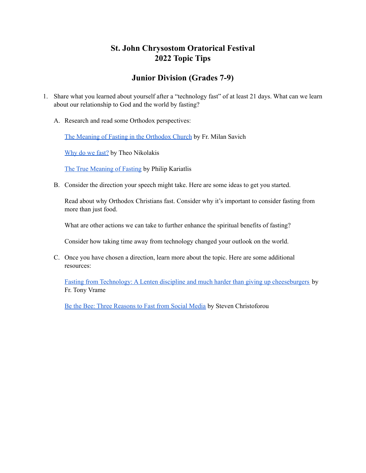## **St. John Chrysostom Oratorical Festival 2022 Topic Tips**

## **Junior Division (Grades 7-9)**

- 1. Share what you learned about yourself after a "technology fast" of at least 21 days. What can we learn about our relationship to God and the world by fasting?
	- A. Research and read some Orthodox perspectives:

The Meaning of Fasting in the [Orthodox](http://ww1.antiochian.org/node/50791) Church by Fr. Milan Savich

[Why](https://www.goarch.org/-/why-do-we-fast-) do we fast? by Theo Nikolakis

The True [Meaning](https://publicorthodoxy.org/2018/02/17/true-meaning-of-fasting/) of Fasting by Philip Kariatlis

B. Consider the direction your speech might take. Here are some ideas to get you started.

Read about why Orthodox Christians fast. Consider why it's important to consider fasting from more than just food.

What are other actions we can take to further enhance the spiritual benefits of fasting?

Consider how taking time away from technology changed your outlook on the world.

C. Once you have chosen a direction, learn more about the topic. Here are some additional resources:

Fasting from Technology: A Lenten discipline and much harder than giving up [cheeseburgers](https://www.faithandsafety.org/blog-post/-/blogs/fasting-from-technology-a-lenten-discipline-and-much-harder-than-giving-up-cheeseburgers-) by Fr. Tony Vrame

Be the Bee: Three [Reasons](https://www.youtube.com/watch?v=iGoDozQZ7LA) to Fast from Social Media by Steven Christoforou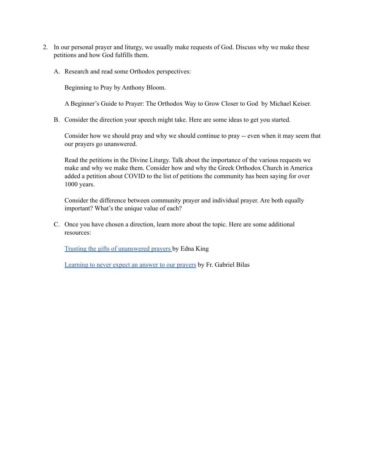- 2. In our personal prayer and liturgy, we usually make requests of God. Discuss why we make these petitions and how God fulfills them.
	- A. Research and read some Orthodox perspectives:

Beginning to Pray by Anthony Bloom.

A Beginner's Guide to Prayer: The Orthodox Way to Grow Closer to God by Michael Keiser.

B. Consider the direction your speech might take. Here are some ideas to get you started.

Consider how we should pray and why we should continue to pray -- even when it may seem that our prayers go unanswered.

Read the petitions in the Divine Liturgy. Talk about the importance of the various requests we make and why we make them. Consider how and why the Greek Orthodox Church in America added a petition about COVID to the list of petitions the community has been saying for over 1000 years.

Consider the difference between community prayer and individual prayer. Are both equally important? What's the unique value of each?

C. Once you have chosen a direction, learn more about the topic. Here are some additional resources:

Trusting the gifts of [unanswered](https://myocn.net/trusting-the-gifts-of-unanswered-prayers/) prayers by Edna King

[Learning](http://www.st-marymagdalene.org/parish-blog/2020/1/28/learning-to-never-expect-an-answer-to-our-prayers) to never expect an answer to our prayers by Fr. Gabriel Bilas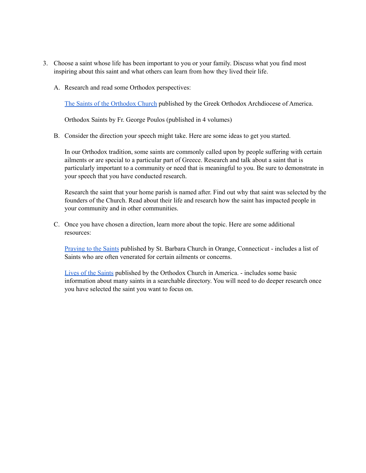- 3. Choose a saint whose life has been important to you or your family. Discuss what you find most inspiring about this saint and what others can learn from how they lived their life.
	- A. Research and read some Orthodox perspectives:

The Saints of the [Orthodox](https://www.goarch.org/-/the-saints-of-the-orthodox-church) Church published by the Greek Orthodox Archdiocese of America.

Orthodox Saints by Fr. George Poulos (published in 4 volumes)

B. Consider the direction your speech might take. Here are some ideas to get you started.

In our Orthodox tradition, some saints are commonly called upon by people suffering with certain ailments or are special to a particular part of Greece. Research and talk about a saint that is particularly important to a community or need that is meaningful to you. Be sure to demonstrate in your speech that you have conducted research.

Research the saint that your home parish is named after. Find out why that saint was selected by the founders of the Church. Read about their life and research how the saint has impacted people in your community and in other communities.

C. Once you have chosen a direction, learn more about the topic. Here are some additional resources:

[Praying](https://www.saintbarbara.org/growing_in_christ/praying_to_the_saints) to the Saints published by St. Barbara Church in Orange, Connecticut - includes a list of Saints who are often venerated for certain ailments or concerns.

Lives of the [Saints](https://www.oca.org/saints/lives) published by the Orthodox Church in America. - includes some basic information about many saints in a searchable directory. You will need to do deeper research once you have selected the saint you want to focus on.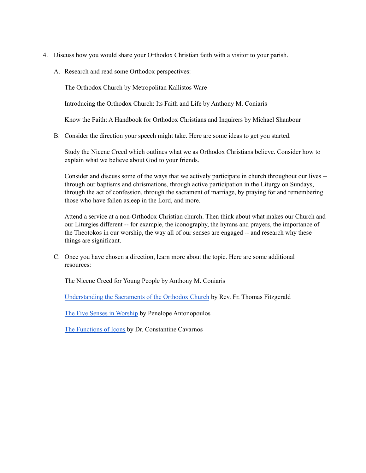- 4. Discuss how you would share your Orthodox Christian faith with a visitor to your parish.
	- A. Research and read some Orthodox perspectives:

The Orthodox Church by Metropolitan Kallistos Ware

Introducing the Orthodox Church: Its Faith and Life by Anthony M. Coniaris

Know the Faith: A Handbook for Orthodox Christians and Inquirers by Michael Shanbour

B. Consider the direction your speech might take. Here are some ideas to get you started.

Study the Nicene Creed which outlines what we as Orthodox Christians believe. Consider how to explain what we believe about God to your friends.

Consider and discuss some of the ways that we actively participate in church throughout our lives - through our baptisms and chrismations, through active participation in the Liturgy on Sundays, through the act of confession, through the sacrament of marriage, by praying for and remembering those who have fallen asleep in the Lord, and more.

Attend a service at a non-Orthodox Christian church. Then think about what makes our Church and our Liturgies different -- for example, the iconography, the hymns and prayers, the importance of the Theotokos in our worship, the way all of our senses are engaged -- and research why these things are significant.

C. Once you have chosen a direction, learn more about the topic. Here are some additional resources:

The Nicene Creed for Young People by Anthony M. Coniaris

[Understanding](https://www.goarch.org/-/the-sacraments) the Sacraments of the Orthodox Church by Rev. Fr. Thomas Fitzgerald

The Five Senses in [Worship](https://blogs.depaul.edu/dmm/2013/01/22/the-five-senses-in-worship/) by Penelope Antonopoulos

The [Functions](http://orthodoxinfo.com/general/icon_function.aspx) of Icons by Dr. Constantine Cavarnos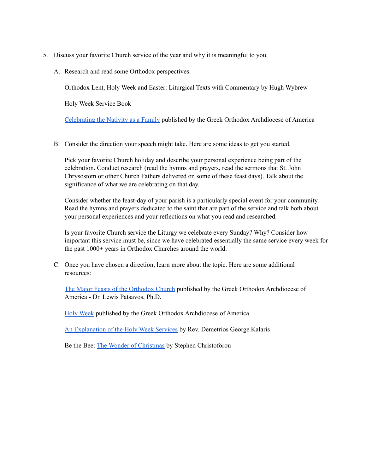- 5. Discuss your favorite Church service of the year and why it is meaningful to you.
	- A. Research and read some Orthodox perspectives:

Orthodox Lent, Holy Week and Easter: Liturgical Texts with Commentary by Hugh Wybrew

Holy Week Service Book

[Celebrating](https://www.goarch.org/-/celebrating-the-nativity-as-a-family) the Nativity as a Family published by the Greek Orthodox Archdiocese of America

B. Consider the direction your speech might take. Here are some ideas to get you started.

Pick your favorite Church holiday and describe your personal experience being part of the celebration. Conduct research (read the hymns and prayers, read the sermons that St. John Chrysostom or other Church Fathers delivered on some of these feast days). Talk about the significance of what we are celebrating on that day.

Consider whether the feast-day of your parish is a particularly special event for your community. Read the hymns and prayers dedicated to the saint that are part of the service and talk both about your personal experiences and your reflections on what you read and researched.

Is your favorite Church service the Liturgy we celebrate every Sunday? Why? Consider how important this service must be, since we have celebrated essentially the same service every week for the past 1000+ years in Orthodox Churches around the world.

C. Once you have chosen a direction, learn more about the topic. Here are some additional resources:

The Major Feasts of the [Orthodox](https://www.goarch.org/-/the-major-feasts-of-the-church) Church published by the Greek Orthodox Archdiocese of America - Dr. Lewis Patsavos, Ph.D.

Holy [Week](https://www.goarch.org/holyweek) published by the Greek Orthodox Archdiocese of America

An [Explanation](https://holytrinitynr.org/online-resources/about-holy-week-services) of the Holy Week Services by Rev. Demetrios George Kalaris

Be the Bee: The Wonder of [Christmas](https://www.goarch.org/-/the-wonder-of-christmas) by Stephen Christoforou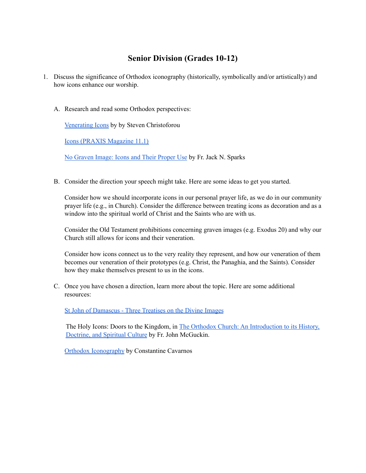## **Senior Division (Grades 10-12)**

- 1. Discuss the significance of Orthodox iconography (historically, symbolically and/or artistically) and how icons enhance our worship.
	- A. Research and read some Orthodox perspectives:

[Venerating](https://www.goarch.org/-/venerating-icons) Icons by by Steven Christoforou

Icons (PRAXIS [Magazine](https://www.goarch.org/-/praxis-2011-volume-11-issue-1-icons?inheritRedirect=true) 11.1)

No [Graven](http://ww1.antiochian.org/content/no-graven-image-icons-and-their-proper-use) Image: Icons and Their Proper Use by Fr. Jack N. Sparks

B. Consider the direction your speech might take. Here are some ideas to get you started.

Consider how we should incorporate icons in our personal prayer life, as we do in our community prayer life (e.g., in Church). Consider the difference between treating icons as decoration and as a window into the spiritual world of Christ and the Saints who are with us.

Consider the Old Testament prohibitions concerning graven images (e.g. Exodus 20) and why our Church still allows for icons and their veneration.

Consider how icons connect us to the very reality they represent, and how our veneration of them becomes our veneration of their prototypes (e.g. Christ, the Panaghia, and the Saints). Consider how they make themselves present to us in the icons.

C. Once you have chosen a direction, learn more about the topic. Here are some additional resources:

St John of [Damascus](https://www.amazon.com/Treatises-Vladimirs-Seminary-Popular-Patristics/dp/0881412457/ref=sr_1_3?crid=1JACCOR2144QO&dchild=1&keywords=three+treatises+on+the+divine+images&qid=1635900969&sprefix=three+treatises+on+the+%2Caps%2C191&sr=8-3) - Three Treatises on the Divine Images

The Holy Icons: Doors to the Kingdom, in The Orthodox Church: An [Introduction](https://www.amazon.com/gp/product/B002M78EL6/ref=dbs_a_def_rwt_hsch_vapi_tkin_p1_i7) to its History, [Doctrine,](https://www.amazon.com/gp/product/B002M78EL6/ref=dbs_a_def_rwt_hsch_vapi_tkin_p1_i7) and Spiritual Culture by Fr. John McGuckin.

Orthodox [Iconography](https://www.amazon.com/Orthodox-Iconography-Constantine-Cavarnos/dp/0914744372) by Constantine Cavarnos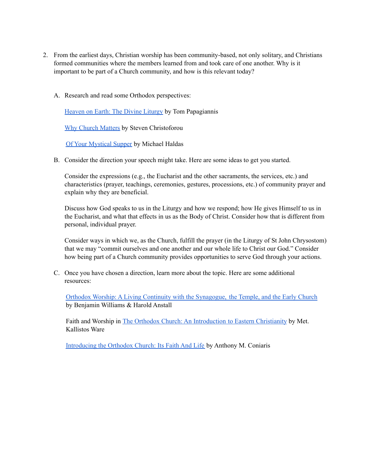- 2. From the earliest days, Christian worship has been community-based, not only solitary, and Christians formed communities where the members learned from and took care of one another. Why is it important to be part of a Church community, and how is this relevant today?
	- A. Research and read some Orthodox perspectives:

[Heaven](https://orthodoxmarketplace.com/heaven-on-earth-the-divine-liturgy-zine-student/) on Earth: The Divine Liturgy by Tom Papagiannis

Why Church [Matters](https://www.youtube.com/watch?v=T-4aG3h5i5Y) by Steven Christoforou

Of Your [Mystical](https://orthodoxmarketplace.com/of-your-mystical-supper-eucharist-zine-student/) Supper by Michael Haldas

B. Consider the direction your speech might take. Here are some ideas to get you started.

Consider the expressions (e.g., the Eucharist and the other sacraments, the services, etc.) and characteristics (prayer, teachings, ceremonies, gestures, processions, etc.) of community prayer and explain why they are beneficial.

Discuss how God speaks to us in the Liturgy and how we respond; how He gives Himself to us in the Eucharist, and what that effects in us as the Body of Christ. Consider how that is different from personal, individual prayer.

Consider ways in which we, as the Church, fulfill the prayer (in the Liturgy of St John Chrysostom) that we may "commit ourselves and one another and our whole life to Christ our God." Consider how being part of a Church community provides opportunities to serve God through your actions.

C. Once you have chosen a direction, learn more about the topic. Here are some additional resources:

Orthodox Worship: A Living Continuity with the [Synagogue,](https://www.amazon.com/Orthodox-Worship-Living-Continuity-Synagogue/dp/1944967540/ref=pd_lpo_1?pd_rd_i=1944967540&psc=1) the Temple, and the Early Church by Benjamin Williams & Harold Anstall

Faith and Worship in The Orthodox Church: An [Introduction](https://www.amazon.com/Orthodox-Church-Introduction-Eastern-Christianity-ebook/dp/B002XHNNHA/ref=sr_1_3?crid=7K6AZSVH4RAH&dchild=1&keywords=the+orthodox+church+by+kallistos+ware&qid=1635907146&s=books&sprefix=orthodox+church+kallist%2Cstripbooks%2C78&sr=1-3) to Eastern Christianity by Met. Kallistos Ware

[Introducing](https://www.amazon.com/Introducing-Orthodox-Church-Faith-Life/dp/1933654082) the Orthodox Church: Its Faith And Life by Anthony M. Coniaris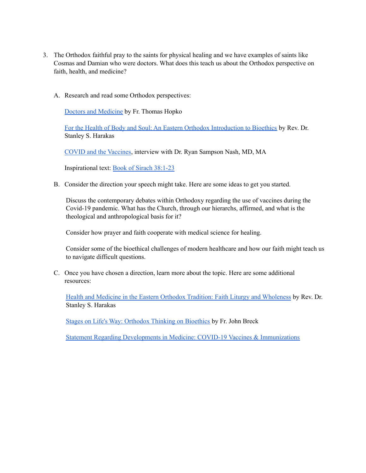- 3. The Orthodox faithful pray to the saints for physical healing and we have examples of saints like Cosmas and Damian who were doctors. What does this teach us about the Orthodox perspective on faith, health, and medicine?
	- A. Research and read some Orthodox perspectives:

Doctors and [Medicine](https://www.ancientfaith.com/podcasts/hopko/doctors_and_medicine) by Fr. Thomas Hopko

For the Health of Body and Soul: An Eastern Orthodox [Introduction](https://www.goarch.org/-/for-the-health-of-body-and-soul-an-eastern-orthodox-introduction-to-bioethics) to Bioethics by Rev. Dr. Stanley S. Harakas

COVID and the [Vaccines](https://www.ancientfaith.com/podcasts/sost/covid_and_the_vaccines?fbclid=IwAR2JywDB5fD3TIUtXD1ucsrd5jWITzkpFiVVlWjlfl-Nsxi1JgGxLg60Hqw), interview with Dr. Ryan Sampson Nash, MD, MA

Inspirational text: Book of Sirach [38:1-23](https://www.biblegateway.com/passage/?search=Sirach+38&version=NRSV)

B. Consider the direction your speech might take. Here are some ideas to get you started.

Discuss the contemporary debates within Orthodoxy regarding the use of vaccines during the Covid-19 pandemic. What has the Church, through our hierarchs, affirmed, and what is the theological and anthropological basis for it?

Consider how prayer and faith cooperate with medical science for healing.

Consider some of the bioethical challenges of modern healthcare and how our faith might teach us to navigate difficult questions.

C. Once you have chosen a direction, learn more about the topic. Here are some additional resources:

Health and Medicine in the Eastern Orthodox Tradition: Faith Liturgy and [Wholeness](https://www.amazon.com/Health-Medicine-Eastern-Orthodox-Tradition/dp/082450934X) by Rev. Dr. Stanley S. Harakas

Stages on Life's Way: [Orthodox](https://www.amazon.com/gp/product/B0084FS04Q/ref=dbs_a_def_rwt_hsch_vapi_tkin_p1_i1) Thinking on Bioethics by Fr. John Breck

Statement Regarding Developments in Medicine: COVID-19 Vaccines & [Immunizations](https://www.goarch.org/-/vaccine-statement?inheritRedirect=true)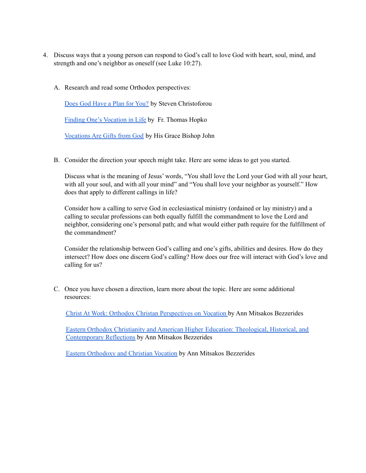- 4. Discuss ways that a young person can respond to God's call to love God with heart, soul, mind, and strength and one's neighbor as oneself (see Luke 10:27).
	- A. Research and read some Orthodox perspectives:

Does God [Have](https://www.faithandsafety.org/web/greek-orthodox-archdiocese-of-america/-/be-the-bee-146-does-god-have-a-plan-for-you-w-anna-karos-?inheritRedirect=true) a Plan for You? by Steven Christoforou

Finding One's [Vocation](https://www.oca.org/parish-ministry/theology/finding-ones-vocation-in-life) in Life by Fr. Thomas Hopko

[Vocations](http://ww1.antiochian.org/vocations-are-gifts-god) Are Gifts from God by His Grace Bishop John

B. Consider the direction your speech might take. Here are some ideas to get you started.

Discuss what is the meaning of Jesus' words, "You shall love the Lord your God with all your heart, with all your soul, and with all your mind" and "You shall love your neighbor as yourself." How does that apply to different callings in life?

Consider how a calling to serve God in ecclesiastical ministry (ordained or lay ministry) and a calling to secular professions can both equally fulfill the commandment to love the Lord and neighbor, considering one's personal path; and what would either path require for the fulfillment of the commandment?

Consider the relationship between God's calling and one's gifts, abilities and desires. How do they intersect? How does one discern God's calling? How does our free will interact with God's love and calling for us?

C. Once you have chosen a direction, learn more about the topic. Here are some additional resources:

Christ At Work: Orthodox Christan [Perspectives](https://www.amazon.com/Christ-At-Work-Orthodox-Perspectives/dp/1885652879/ref=sr_1_1?ie=UTF8&qid=1513700173&sr=8) on Vocation by Ann Mitsakos Bezzerides

Eastern Orthodox Christianity and American Higher Education: [Theological,](https://www.amazon.com/Eastern-Orthodox-Christianity-American-Education/dp/0268101264/ref=sr_1_1?s=books&ie=UTF8&qid=1513700213&sr=1) Historical, and [Contemporary](https://www.amazon.com/Eastern-Orthodox-Christianity-American-Education/dp/0268101264/ref=sr_1_1?s=books&ie=UTF8&qid=1513700213&sr=1) Reflections by Ann Mitsakos Bezzerides

Eastern [Orthodoxy](http://www.hchc.edu/assets/files/OVM/EasternOrthodoxy&ChristianVocation.pdf) and Christian Vocation by Ann Mitsakos Bezzerides